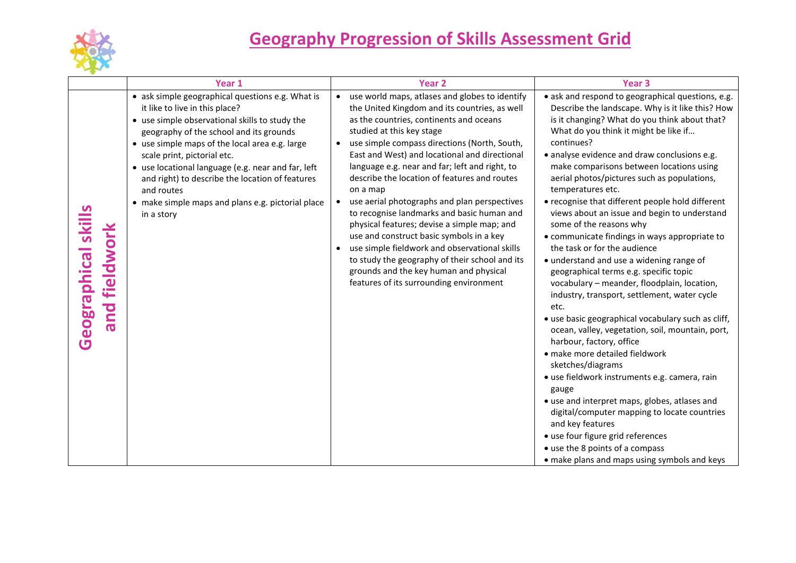

|                                             | Year 1                                                                                                                                                                                                                                                                                                                                                                                                                                                     | Year <sub>2</sub>                                                                                                                                                                                                                                                                                                                                                                                                                                                                                                                                                                                                                                                                                                                                                                                              | Year <sub>3</sub>                                                                                                                                                                                                                                                                                                                                                                                                                                                                                                                                                                                                                                                                                                                                                                                                                                                                                                                                                                                                                                                                                                                                                                                                                                                                              |
|---------------------------------------------|------------------------------------------------------------------------------------------------------------------------------------------------------------------------------------------------------------------------------------------------------------------------------------------------------------------------------------------------------------------------------------------------------------------------------------------------------------|----------------------------------------------------------------------------------------------------------------------------------------------------------------------------------------------------------------------------------------------------------------------------------------------------------------------------------------------------------------------------------------------------------------------------------------------------------------------------------------------------------------------------------------------------------------------------------------------------------------------------------------------------------------------------------------------------------------------------------------------------------------------------------------------------------------|------------------------------------------------------------------------------------------------------------------------------------------------------------------------------------------------------------------------------------------------------------------------------------------------------------------------------------------------------------------------------------------------------------------------------------------------------------------------------------------------------------------------------------------------------------------------------------------------------------------------------------------------------------------------------------------------------------------------------------------------------------------------------------------------------------------------------------------------------------------------------------------------------------------------------------------------------------------------------------------------------------------------------------------------------------------------------------------------------------------------------------------------------------------------------------------------------------------------------------------------------------------------------------------------|
| <b>Geographical skills</b><br>and fieldwork | • ask simple geographical questions e.g. What is<br>it like to live in this place?<br>• use simple observational skills to study the<br>geography of the school and its grounds<br>• use simple maps of the local area e.g. large<br>scale print, pictorial etc.<br>• use locational language (e.g. near and far, left<br>and right) to describe the location of features<br>and routes<br>• make simple maps and plans e.g. pictorial place<br>in a story | use world maps, atlases and globes to identify<br>$\bullet$<br>the United Kingdom and its countries, as well<br>as the countries, continents and oceans<br>studied at this key stage<br>use simple compass directions (North, South,<br>$\bullet$<br>East and West) and locational and directional<br>language e.g. near and far; left and right, to<br>describe the location of features and routes<br>on a map<br>use aerial photographs and plan perspectives<br>$\bullet$<br>to recognise landmarks and basic human and<br>physical features; devise a simple map; and<br>use and construct basic symbols in a key<br>use simple fieldwork and observational skills<br>to study the geography of their school and its<br>grounds and the key human and physical<br>features of its surrounding environment | • ask and respond to geographical questions, e.g.<br>Describe the landscape. Why is it like this? How<br>is it changing? What do you think about that?<br>What do you think it might be like if<br>continues?<br>· analyse evidence and draw conclusions e.g.<br>make comparisons between locations using<br>aerial photos/pictures such as populations,<br>temperatures etc.<br>• recognise that different people hold different<br>views about an issue and begin to understand<br>some of the reasons why<br>• communicate findings in ways appropriate to<br>the task or for the audience<br>· understand and use a widening range of<br>geographical terms e.g. specific topic<br>vocabulary - meander, floodplain, location,<br>industry, transport, settlement, water cycle<br>etc.<br>• use basic geographical vocabulary such as cliff,<br>ocean, valley, vegetation, soil, mountain, port,<br>harbour, factory, office<br>· make more detailed fieldwork<br>sketches/diagrams<br>• use fieldwork instruments e.g. camera, rain<br>gauge<br>• use and interpret maps, globes, atlases and<br>digital/computer mapping to locate countries<br>and key features<br>· use four figure grid references<br>• use the 8 points of a compass<br>• make plans and maps using symbols and keys |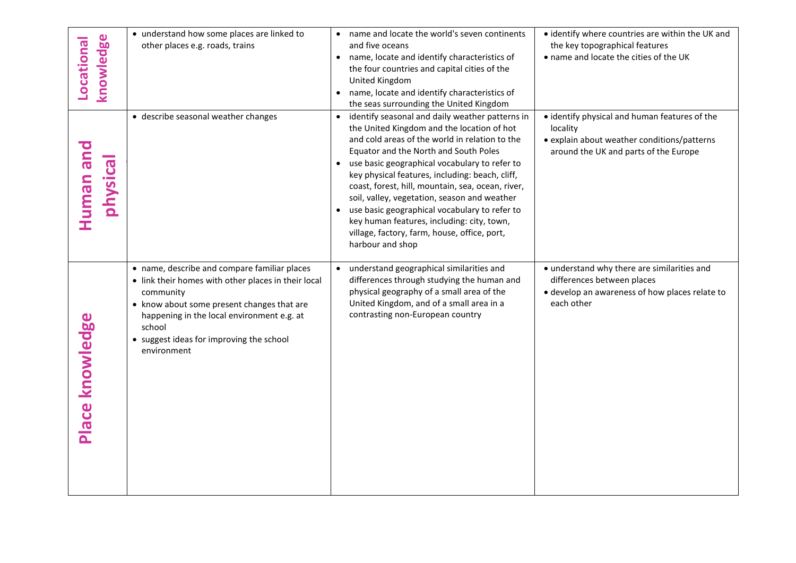| knowledge<br><b>Locational</b> | • understand how some places are linked to<br>other places e.g. roads, trains                                                                                                                                                                                                     | • name and locate the world's seven continents<br>and five oceans<br>name, locate and identify characteristics of<br>$\bullet$<br>the four countries and capital cities of the<br>United Kingdom<br>name, locate and identify characteristics of<br>$\bullet$<br>the seas surrounding the United Kingdom                                                                                                                                                                                                                                                                                         | • identify where countries are within the UK and<br>the key topographical features<br>• name and locate the cities of the UK                      |
|--------------------------------|-----------------------------------------------------------------------------------------------------------------------------------------------------------------------------------------------------------------------------------------------------------------------------------|--------------------------------------------------------------------------------------------------------------------------------------------------------------------------------------------------------------------------------------------------------------------------------------------------------------------------------------------------------------------------------------------------------------------------------------------------------------------------------------------------------------------------------------------------------------------------------------------------|---------------------------------------------------------------------------------------------------------------------------------------------------|
| Human and<br>physical          | • describe seasonal weather changes                                                                                                                                                                                                                                               | identify seasonal and daily weather patterns in<br>$\bullet$<br>the United Kingdom and the location of hot<br>and cold areas of the world in relation to the<br>Equator and the North and South Poles<br>use basic geographical vocabulary to refer to<br>$\bullet$<br>key physical features, including: beach, cliff,<br>coast, forest, hill, mountain, sea, ocean, river,<br>soil, valley, vegetation, season and weather<br>• use basic geographical vocabulary to refer to<br>key human features, including: city, town,<br>village, factory, farm, house, office, port,<br>harbour and shop | • identify physical and human features of the<br>locality<br>• explain about weather conditions/patterns<br>around the UK and parts of the Europe |
| Place knowledge                | • name, describe and compare familiar places<br>• link their homes with other places in their local<br>community<br>• know about some present changes that are<br>happening in the local environment e.g. at<br>school<br>• suggest ideas for improving the school<br>environment | understand geographical similarities and<br>differences through studying the human and<br>physical geography of a small area of the<br>United Kingdom, and of a small area in a<br>contrasting non-European country                                                                                                                                                                                                                                                                                                                                                                              | • understand why there are similarities and<br>differences between places<br>· develop an awareness of how places relate to<br>each other         |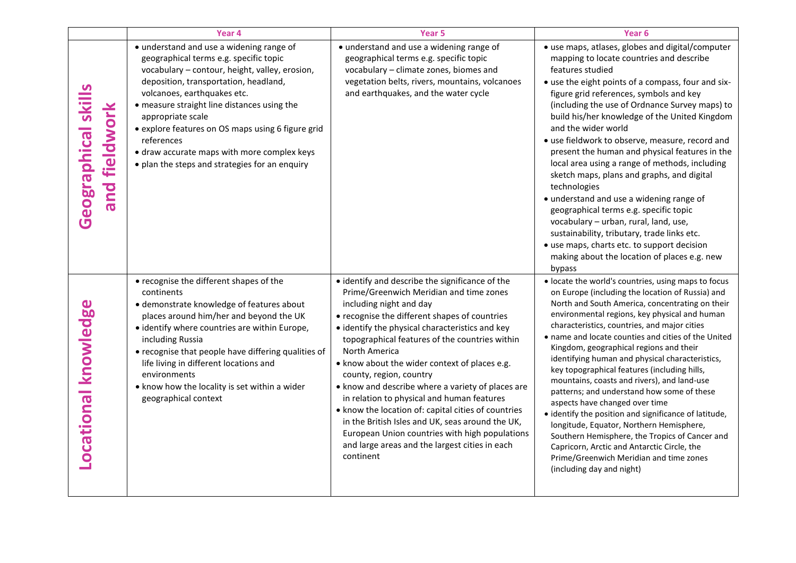|                                     | Year <sub>4</sub>                                                                                                                                                                                                                                                                                                                                                                                                                                    | Year <sub>5</sub>                                                                                                                                                                                                                                                                                                                                                                                                                                                                                                                                                                                                                                                                                       | Year <sub>6</sub>                                                                                                                                                                                                                                                                                                                                                                                                                                                                                                                                                                                                                                                                                                                                                                                                                                                             |
|-------------------------------------|------------------------------------------------------------------------------------------------------------------------------------------------------------------------------------------------------------------------------------------------------------------------------------------------------------------------------------------------------------------------------------------------------------------------------------------------------|---------------------------------------------------------------------------------------------------------------------------------------------------------------------------------------------------------------------------------------------------------------------------------------------------------------------------------------------------------------------------------------------------------------------------------------------------------------------------------------------------------------------------------------------------------------------------------------------------------------------------------------------------------------------------------------------------------|-------------------------------------------------------------------------------------------------------------------------------------------------------------------------------------------------------------------------------------------------------------------------------------------------------------------------------------------------------------------------------------------------------------------------------------------------------------------------------------------------------------------------------------------------------------------------------------------------------------------------------------------------------------------------------------------------------------------------------------------------------------------------------------------------------------------------------------------------------------------------------|
| Geographical skill<br>and fieldwork | • understand and use a widening range of<br>geographical terms e.g. specific topic<br>vocabulary - contour, height, valley, erosion,<br>deposition, transportation, headland,<br>volcanoes, earthquakes etc.<br>• measure straight line distances using the<br>appropriate scale<br>• explore features on OS maps using 6 figure grid<br>references<br>• draw accurate maps with more complex keys<br>• plan the steps and strategies for an enquiry | • understand and use a widening range of<br>geographical terms e.g. specific topic<br>vocabulary - climate zones, biomes and<br>vegetation belts, rivers, mountains, volcanoes<br>and earthquakes, and the water cycle                                                                                                                                                                                                                                                                                                                                                                                                                                                                                  | • use maps, atlases, globes and digital/computer<br>mapping to locate countries and describe<br>features studied<br>• use the eight points of a compass, four and six-<br>figure grid references, symbols and key<br>(including the use of Ordnance Survey maps) to<br>build his/her knowledge of the United Kingdom<br>and the wider world<br>• use fieldwork to observe, measure, record and<br>present the human and physical features in the<br>local area using a range of methods, including<br>sketch maps, plans and graphs, and digital<br>technologies<br>• understand and use a widening range of<br>geographical terms e.g. specific topic<br>vocabulary - urban, rural, land, use,<br>sustainability, tributary, trade links etc.<br>• use maps, charts etc. to support decision<br>making about the location of places e.g. new<br>bypass                       |
| ocational knowledge                 | • recognise the different shapes of the<br>continents<br>· demonstrate knowledge of features about<br>places around him/her and beyond the UK<br>• identify where countries are within Europe,<br>including Russia<br>• recognise that people have differing qualities of<br>life living in different locations and<br>environments<br>• know how the locality is set within a wider<br>geographical context                                         | • identify and describe the significance of the<br>Prime/Greenwich Meridian and time zones<br>including night and day<br>• recognise the different shapes of countries<br>• identify the physical characteristics and key<br>topographical features of the countries within<br>North America<br>• know about the wider context of places e.g.<br>county, region, country<br>• know and describe where a variety of places are<br>in relation to physical and human features<br>. know the location of: capital cities of countries<br>in the British Isles and UK, seas around the UK,<br>European Union countries with high populations<br>and large areas and the largest cities in each<br>continent | · locate the world's countries, using maps to focus<br>on Europe (including the location of Russia) and<br>North and South America, concentrating on their<br>environmental regions, key physical and human<br>characteristics, countries, and major cities<br>• name and locate counties and cities of the United<br>Kingdom, geographical regions and their<br>identifying human and physical characteristics,<br>key topographical features (including hills,<br>mountains, coasts and rivers), and land-use<br>patterns; and understand how some of these<br>aspects have changed over time<br>• identify the position and significance of latitude,<br>longitude, Equator, Northern Hemisphere,<br>Southern Hemisphere, the Tropics of Cancer and<br>Capricorn, Arctic and Antarctic Circle, the<br>Prime/Greenwich Meridian and time zones<br>(including day and night) |